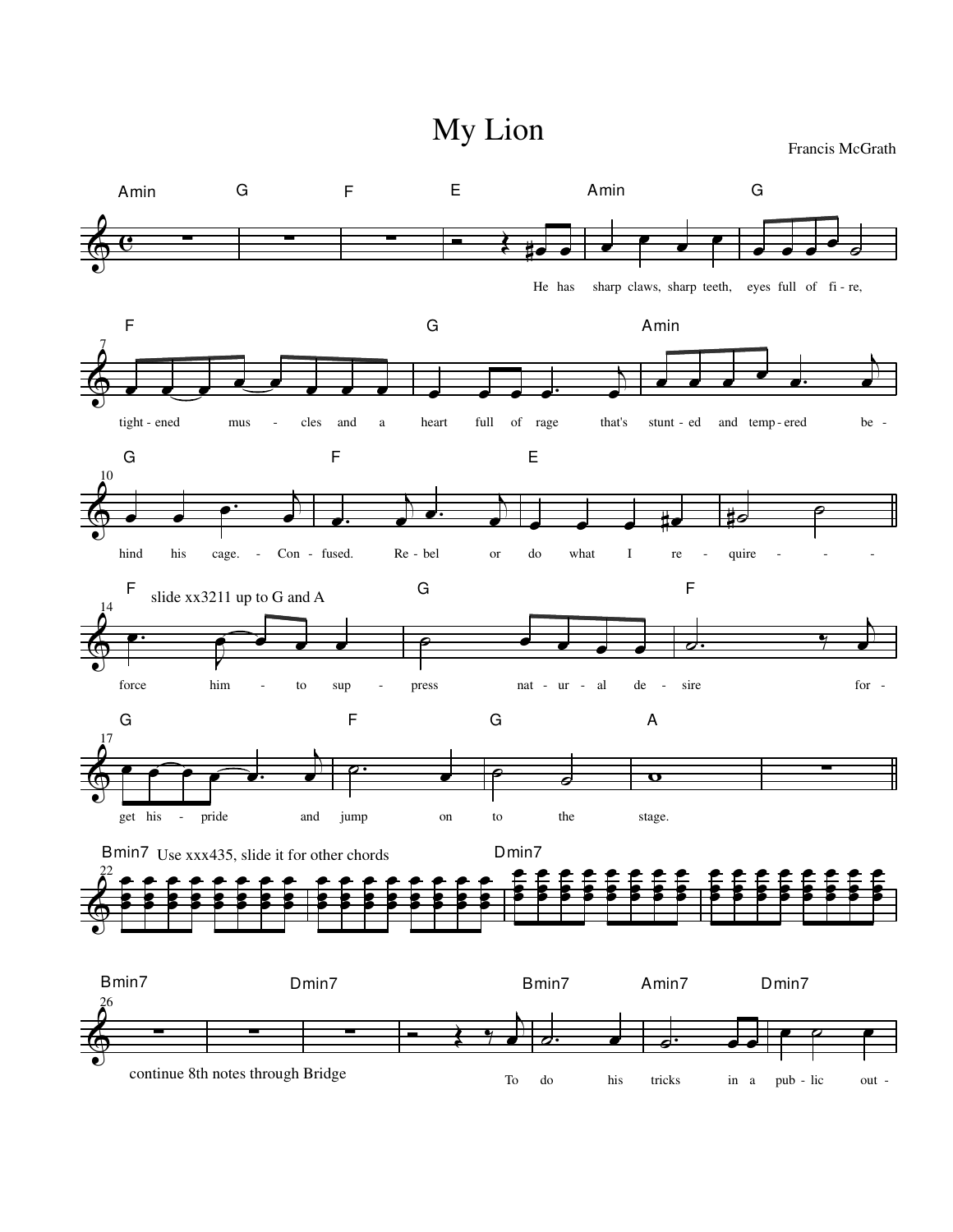My Lion

Francis McGrath